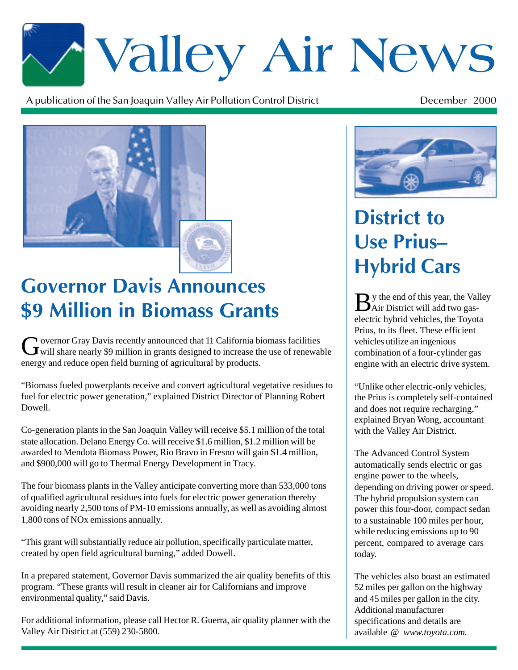# \*Valley Air News

A publication of the San Joaquin Valley Air Pollution Control District  $\mathfrak{t}$  December 2000



## **Covernor Davis Announces** Hybrid Cars \$9 Million in Biomass Grants

Governor Gray Davis recently announced that 11 California biomass facilities<br>will share nearly \$9 million in grants designed to increase the use of renewable energy and reduce open field burning of agricultural by products.

"Biomass fueled powerplants receive and convert agricultural vegetative residues to fuel for electric power generation," explained District Director of Planning Robert Dowell.

Co-generation plants in the San Joaquin Valley will receive \$5.1 million of the total state allocation. Delano Energy Co. will receive \$1.6 million, \$1.2 million will be awarded to Mendota Biomass Power, Rio Bravo in Fresno will gain \$1.4 million, and \$900,000 will go to Thermal Energy Development in Tracy.

The four biomass plants in the Valley anticipate converting more than 533,000 tons of qualified agricultural residues into fuels for electric power generation thereby avoiding nearly 2,500 tons of PM-10 emissions annually, as well as avoiding almost 1,800 tons of NOx emissions annually.

"This grant will substantially reduce air pollution, specifically particulate matter, created by open field agricultural burning," added Dowell.

In a prepared statement, Governor Davis summarized the air quality benefits of this program. "These grants will result in cleaner air for Californians and improve environmental quality," said Davis.

For additional information, please call Hector R. Guerra, air quality planner with the Valley Air District at (559) 230-5800.



### **District to Use Prius-Hybrid Cars**

By the end of this year, the Valley Air District will add two gaselectric hybrid vehicles, the Toyota Prius, to its fleet. These efficient vehicles utilize an ingenious combination of a four-cylinder gas engine with an electric drive system.

"Unlike other electric-only vehicles, the Prius is completely self-contained and does not require recharging," explained Bryan Wong, accountant with the Valley Air District.

The Advanced Control System automatically sends electric or gas engine power to the wheels, depending on driving power or speed. The hybrid propulsion system can power this four-door, compact sedan to a sustainable 100 miles per hour, while reducing emissions up to 90 percent, compared to average cars today.

The vehicles also boast an estimated 52 miles per gallon on the highway and 45 miles per gallon in the city. Additional manufacturer specifications and details are available @ *www.toyota.com.*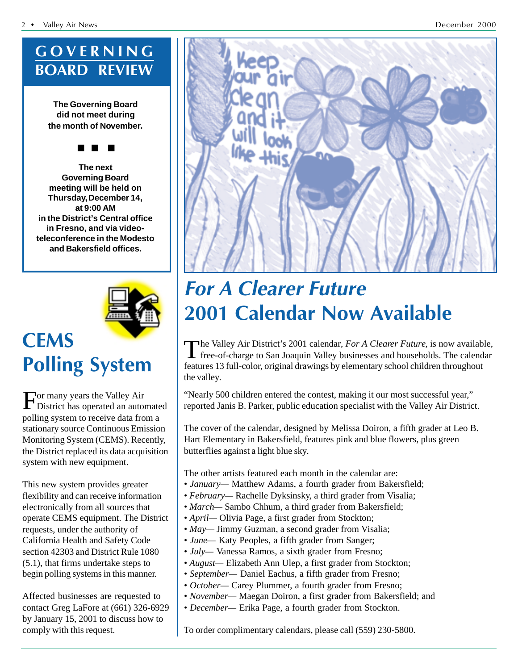#### GOVERNING **BOARD REVIEW**

**The Governing Board did not meet during the month of November.**

#### ■ ■ ■

**The next Governing Board meeting will be held on Thursday, December 14, at 9:00 AM in the District's Central office in Fresno, and via videoteleconference in the Modesto and Bakersfield offices.**



#### **CEMS Polling System**

For many years the Valley Air District has operated an automated polling system to receive data from a stationary source Continuous Emission Monitoring System (CEMS). Recently, the District replaced its data acquisition system with new equipment.

This new system provides greater flexibility and can receive information electronically from all sources that operate CEMS equipment. The District requests, under the authority of California Health and Safety Code section 42303 and District Rule 1080 (5.1), that firms undertake steps to begin polling systems in this manner.

Affected businesses are requested to contact Greg LaFore at (661) 326-6929 by January 15, 2001 to discuss how to comply with this request.



#### **For A Clearer Future** 2001 Calendar Now Available

The Valley Air District's 2001 calendar, *For A Clearer Future*, is now available, free-of-charge to San Joaquin Valley businesses and households. The calendar features 13 full-color, original drawings by elementary school children throughout the valley.

"Nearly 500 children entered the contest, making it our most successful year," reported Janis B. Parker, public education specialist with the Valley Air District.

The cover of the calendar, designed by Melissa Doiron, a fifth grader at Leo B. Hart Elementary in Bakersfield, features pink and blue flowers, plus green butterflies against a light blue sky.

The other artists featured each month in the calendar are:

- *January—* Matthew Adams, a fourth grader from Bakersfield;
- *February—* Rachelle Dyksinsky, a third grader from Visalia;
- *March* Sambo Chhum, a third grader from Bakersfield;
- *April—* Olivia Page, a first grader from Stockton;
- *May* Jimmy Guzman, a second grader from Visalia;
- *June* Katy Peoples, a fifth grader from Sanger;
- *July* Vanessa Ramos, a sixth grader from Fresno;
- *August—* Elizabeth Ann Ulep, a first grader from Stockton;
- *September—* Daniel Eachus, a fifth grader from Fresno;
- *October—* Carey Plummer, a fourth grader from Fresno;
- *November—* Maegan Doiron, a first grader from Bakersfield; and
- *December—* Erika Page, a fourth grader from Stockton.

To order complimentary calendars, please call (559) 230-5800.